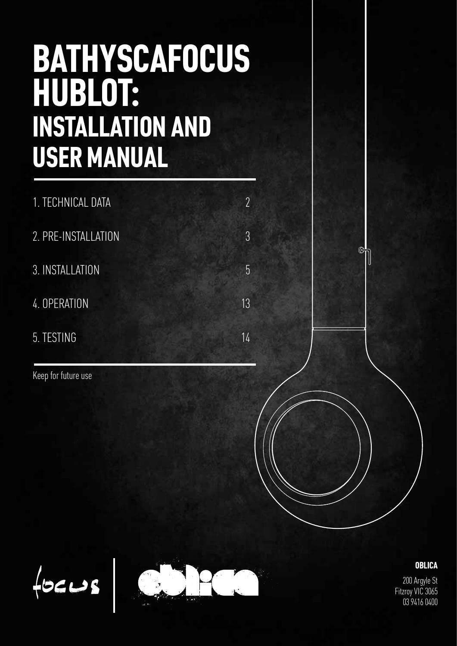# **BATHYSCAFOCUS HUBLOT: INSTALLATION AND USER MANUAL**

| 1. TECHNICAL DATA   | $\overline{\phantom{a}}$ |
|---------------------|--------------------------|
| 2. PRE-INSTALLATION | 3                        |
| 3. INSTALLATION     | 5                        |
| 4. OPERATION        | 13                       |
| 5. TESTING          | 14                       |

Keep for future use



 $f$ 



**OBLICA**

200 Argyle St Fitzroy VIC 3065 03 9416 0400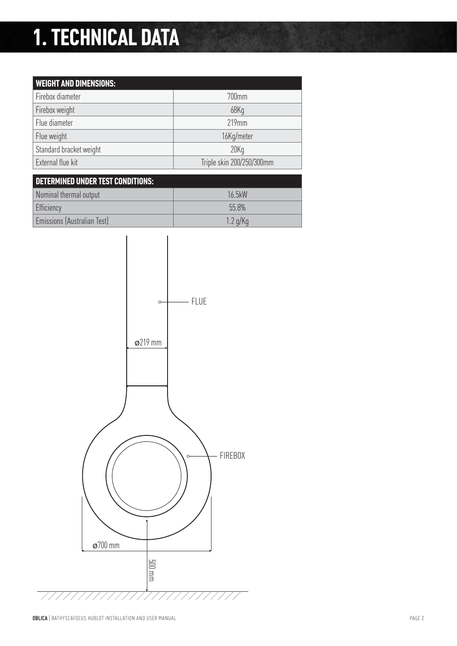## **1. TECHNICAL DATA**

| <b>WEIGHT AND DIMENSIONS:</b> |                           |
|-------------------------------|---------------------------|
| Firebox diameter              | 700mm                     |
| Firebox weight                | 68Kg                      |
| Flue diameter                 | $219$ mm                  |
| Flue weight                   | 16Kg/meter                |
| Standard bracket weight       | 20Kq                      |
| External flue kit             | Triple skin 200/250/300mm |

| DETERMINED UNDER TEST CONDITIONS: |            |
|-----------------------------------|------------|
| Nominal thermal output            | 16 5kW     |
| Efficiency                        | 558%       |
| Emissions (Australian Test)       | $1.2$ g/Kg |

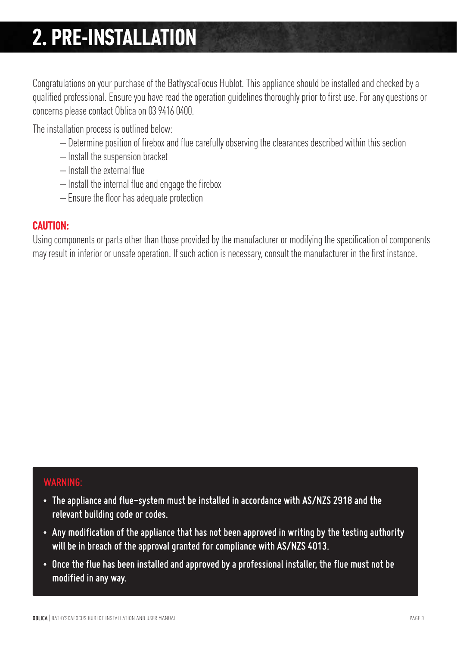## **2. PRE-INSTALLATION**

Congratulations on your purchase of the BathyscaFocus Hublot. This appliance should be installed and checked by a qualified professional. Ensure you have read the operation guidelines thoroughly prior to first use. For any questions or concerns please contact Oblica on 03 9416 0400.

The installation process is outlined below:

- Determine position of firebox and flue carefully observing the clearances described within this section
- Install the suspension bracket
- Install the external flue
- Install the internal flue and engage the firebox
- Ensure the floor has adequate protection

#### **CAUTION:**

Using components or parts other than those provided by the manufacturer or modifying the specification of components may result in inferior or unsafe operation. If such action is necessary, consult the manufacturer in the first instance.

### *WARNING:*

- *The appliance and flue-system must be installed in accordance with AS/NZS 2918 and the relevant building code or codes.*
- *Any modification of the appliance that has not been approved in writing by the testing authority will be in breach of the approval granted for compliance with AS/NZS 4013.*
- *Once the flue has been installed and approved by a professional installer, the flue must not be modified in any way.*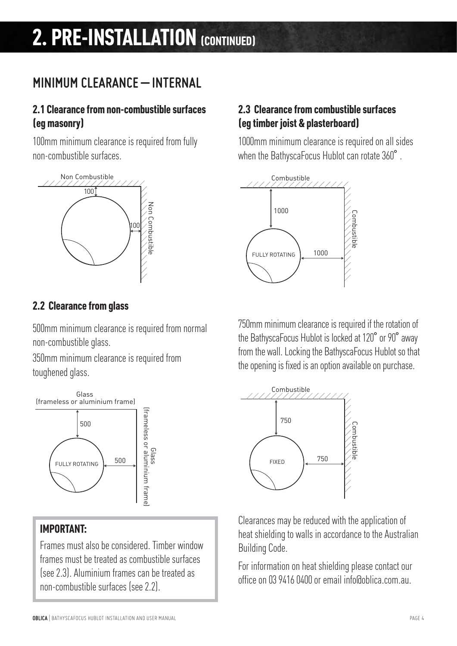## *MINIMUM CLEARANCE – INTERNAL*

### **2.1 Clearance from non-combustible surfaces (eg masonry)**

100mm minimum clearance is required from fully non-combustible surfaces.



### **2.2 Clearance from glass**

500mm minimum clearance is required from normal non-combustible glass.

350mm minimum clearance is required from toughened glass.



### **IMPORTANT:**

Frames must also be considered. Timber window frames must be treated as combustible surfaces (see 2.3). Aluminium frames can be treated as non-combustible surfaces (see 2.2).

### **2.3 Clearance from combustible surfaces (eg timber joist & plasterboard)**

1000mm minimum clearance is required on all sides when the BathyscaFocus Hublot can rotate 360°.



750mm minimum clearance is required if the rotation of the BathyscaFocus Hublot is locked at 120˚ or 90˚ away from the wall. Locking the BathyscaFocus Hublot so that the opening is fixed is an option available on purchase.



Clearances may be reduced with the application of heat shielding to walls in accordance to the Australian Building Code.

For information on heat shielding please contact our office on 03 9416 0400 or email info@oblica.com.au.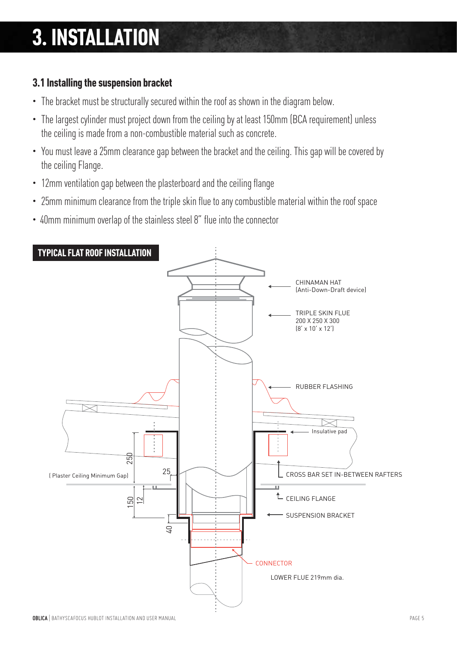## **3. INSTALLATION**

### **3.1 Installing the suspension bracket**

- The bracket must be structurally secured within the roof as shown in the diagram below.
- The largest cylinder must project down from the ceiling by at least 150mm (BCA requirement) unless the ceiling is made from a non-combustible material such as concrete.
- You must leave a 25mm clearance gap between the bracket and the ceiling. This gap will be covered by the ceiling Flange.
- 12mm ventilation gap between the plasterboard and the ceiling flange
- 25mm minimum clearance from the triple skin flue to any combustible material within the roof space
- 40mm minimum overlap of the stainless steel 8" flue into the connector

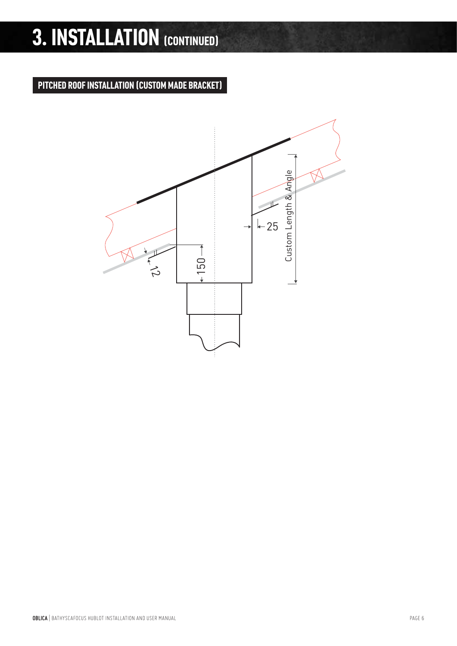#### **PITCHED ROOF INSTALLATION (CUSTOM MADE BRACKET)**

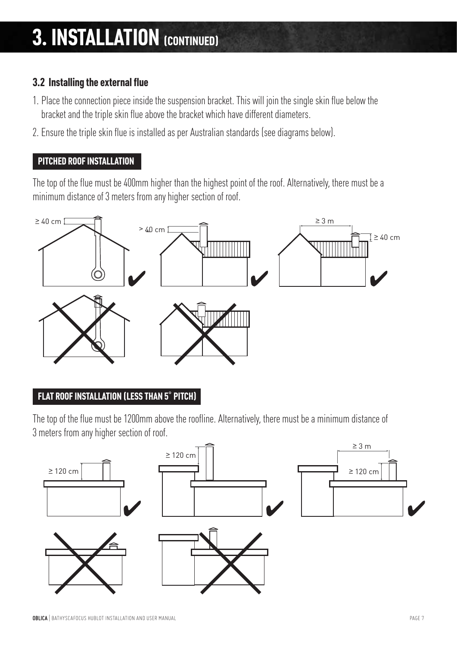### **3.2 Installing the external flue**

- 1. Place the connection piece inside the suspension bracket. This will join the single skin flue below the bracket and the triple skin flue above the bracket which have different diameters.
- 2. Ensure the triple skin flue is installed as per Australian standards (see diagrams below).

#### **PITCHED ROOF INSTALLATION**

The top of the flue must be 400mm higher than the highest point of the roof. Alternatively, there must be a minimum distance of 3 meters from any higher section of roof.



#### **FLAT ROOF INSTALLATION (LESS THAN 5**˚ **PITCH)**

The top of the flue must be 1200mm above the roofline. Alternatively, there must be a minimum distance of 3 meters from any higher section of roof.

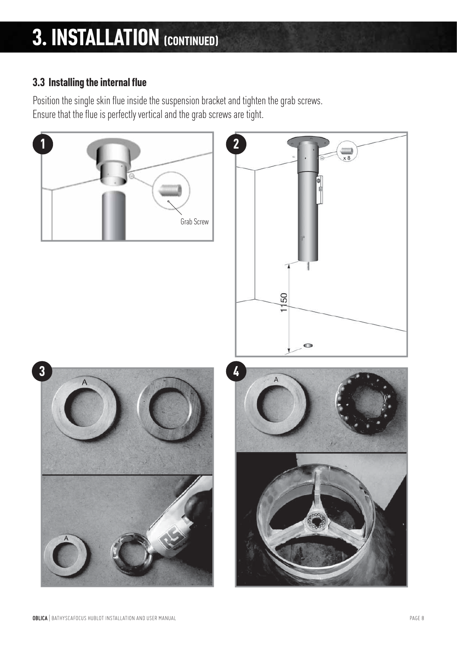### **3.3 Installing the internal flue**

Position the single skin flue inside the suspension bracket and tighten the grab screws. Ensure that the flue is perfectly vertical and the grab screws are tight.

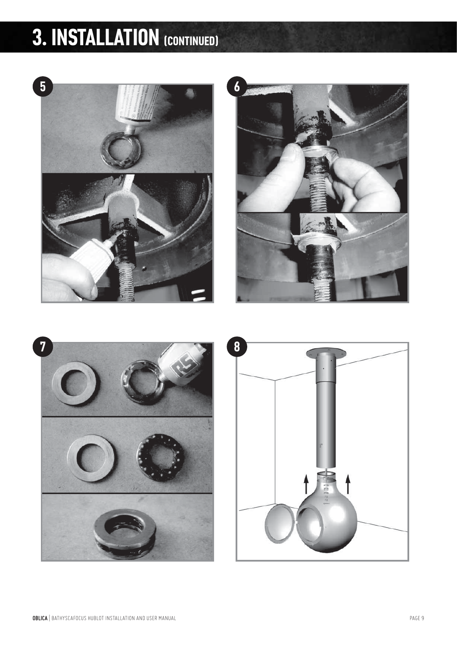



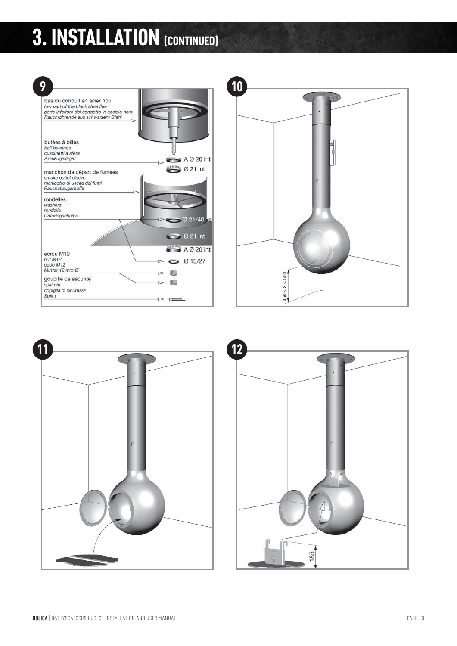





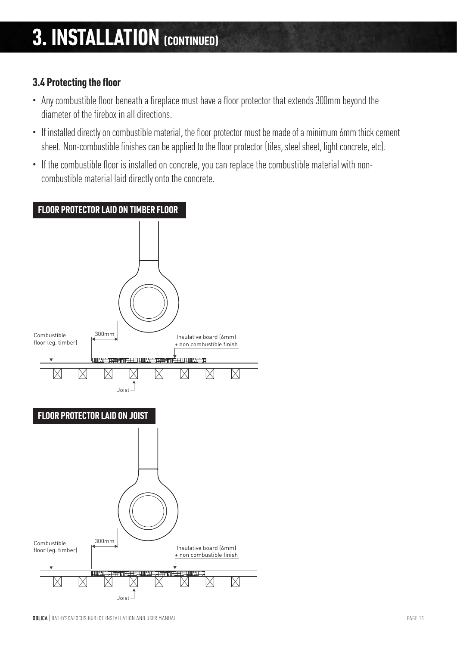### **3.4 Protecting the floor**

- Any combustible floor beneath a fireplace must have a floor protector that extends 300mm beyond the diameter of the firebox in all directions.
- If installed directly on combustible material, the floor protector must be made of a minimum 6mm thick cement sheet. Non-combustible finishes can be applied to the floor protector (tiles, steel sheet, light concrete, etc).
- If the combustible floor is installed on concrete, you can replace the combustible material with noncombustible material laid directly onto the concrete.

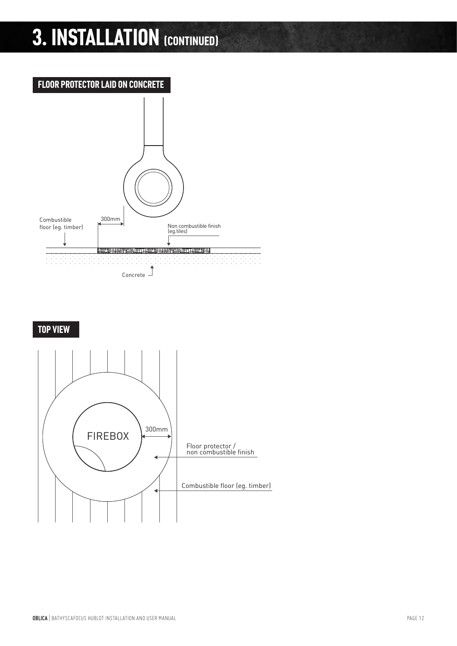



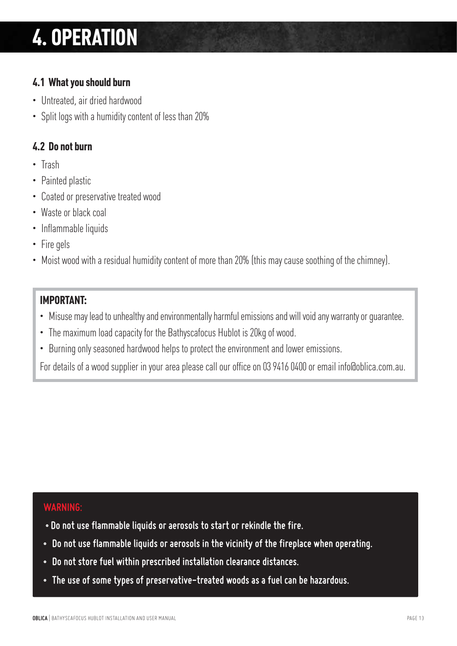## **4. OPERATION**

### **4.1 What you should burn**

- Untreated, air dried hardwood
- Split logs with a humidity content of less than 20%

### **4.2 Do not burn**

- Trash
- Painted plastic
- Coated or preservative treated wood
- Waste or black coal
- Inflammable liquids
- Fire gels
- Moist wood with a residual humidity content of more than 20% (this may cause soothing of the chimney).

### **IMPORTANT:**

- Misuse may lead to unhealthy and environmentally harmful emissions and will void any warranty or guarantee.
- The maximum load capacity for the Bathyscafocus Hublot is 20kg of wood.
- Burning only seasoned hardwood helps to protect the environment and lower emissions.

For details of a wood supplier in your area please call our office on 03 9416 0400 or email info@oblica.com.au.

#### *WARNING:*

- *Do not use flammable liquids or aerosols to start or rekindle the fire.*
- *Do not use flammable liquids or aerosols in the vicinity of the fireplace when operating.*
- *Do not store fuel within prescribed installation clearance distances.*
- *The use of some types of preservative-treated woods as a fuel can be hazardous.*